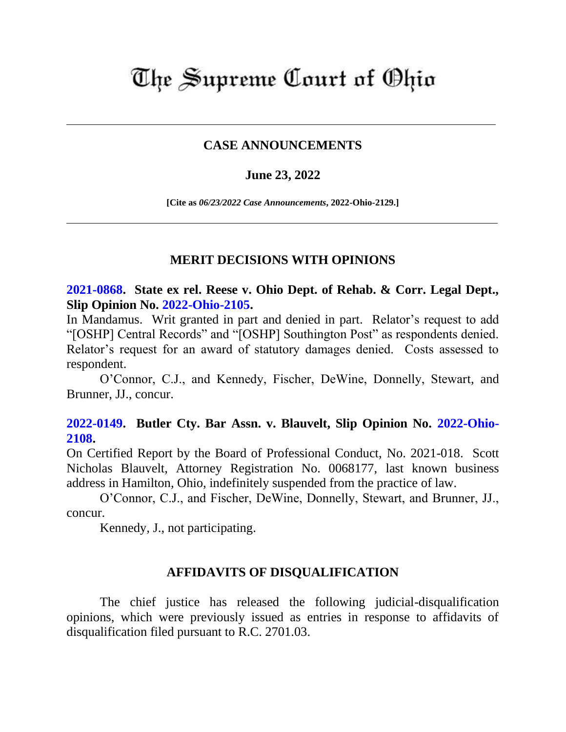# The Supreme Court of Ohio

### **CASE ANNOUNCEMENTS**

#### **June 23, 2022**

**[Cite as** *06/23/2022 Case Announcements***, 2022-Ohio-2129.]**

#### **MERIT DECISIONS WITH OPINIONS**

**[2021-0868.](https://www.supremecourt.ohio.gov/Clerk/ecms/#/caseinfo/2021/0868) State ex rel. Reese v. Ohio Dept. of Rehab. & Corr. Legal Dept., Slip Opinion No. [2022-Ohio-2105.](https://www.supremecourt.ohio.gov/rod/docs/pdf/0/2022/2022-Ohio-2105.pdf)**

In Mandamus. Writ granted in part and denied in part. Relator's request to add "[OSHP] Central Records" and "[OSHP] Southington Post" as respondents denied. Relator's request for an award of statutory damages denied. Costs assessed to respondent.

O'Connor, C.J., and Kennedy, Fischer, DeWine, Donnelly, Stewart, and Brunner, JJ., concur.

## **[2022-0149.](https://www.supremecourt.ohio.gov/Clerk/ecms/#/caseinfo/2022/0149) Butler Cty. Bar Assn. v. Blauvelt, Slip Opinion No. [2022-Ohio-](https://www.supremecourt.ohio.gov/rod/docs/pdf/0/2022/2022-Ohio-2108.pdf)[2108.](https://www.supremecourt.ohio.gov/rod/docs/pdf/0/2022/2022-Ohio-2108.pdf)**

On Certified Report by the Board of Professional Conduct, No. 2021-018. Scott Nicholas Blauvelt, Attorney Registration No. 0068177, last known business address in Hamilton, Ohio, indefinitely suspended from the practice of law.

O'Connor, C.J., and Fischer, DeWine, Donnelly, Stewart, and Brunner, JJ., concur.

Kennedy, J., not participating.

#### **AFFIDAVITS OF DISQUALIFICATION**

The chief justice has released the following judicial-disqualification opinions, which were previously issued as entries in response to affidavits of disqualification filed pursuant to R.C. 2701.03.